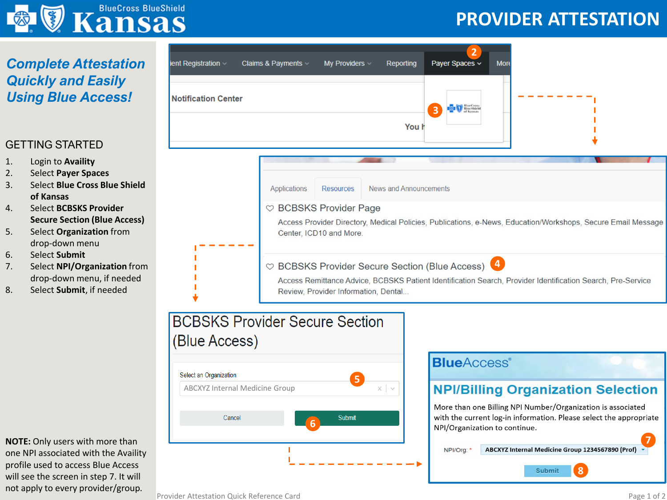

## *Complete Attestation Quickly and Easily Using Blue Access!*

#### GETTING STARTED

- 1. Login to **Availity**
- 2. Select **Payer Spaces**
- 3. Select **Blue Cross Blue Shield of Kansas**
- 4. Select **BCBSKS Provider Secure Section (Blue Access)**
- 5. Select **Organization** from drop-down menu
- 6. Select **Submit**
- 7. Select **NPI/Organization** from drop-down menu, if needed
- 8. Select **Submit**, if needed

**NOTE:** Only users with more than one NPI associated with the Availity profile used to access Blue Access will see the screen in step 7. It will not apply to every provider/group.



## **BCBSKS Provider Secure Section** (Blue Access)



### **BlueAccess**®

## **NPI/Billing Organization Selection**

**PROVIDER ATTESTATION**

More than one Billing NPI Number/Organization is associated with the current log-in information. Please select the appropriate NPI/Organization to continue.

**7** NPI/Org: \* ABCXYZ Internal Medicine Group 1234567890 (Prof)

Submit

**8**

Provider Attestation Quick Reference Card ---------- Page 1 of 2